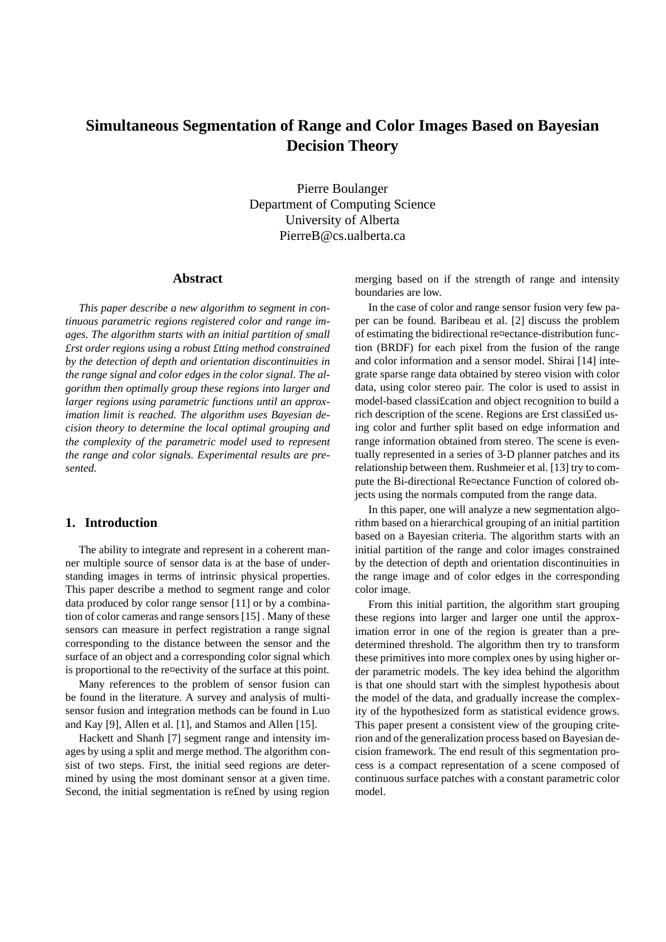# **Simultaneous Segmentation of Range and Color Images Based on Bayesian Decision Theory**

Pierre Boulanger Department of Computing Science University of Alberta PierreB@cs.ualberta.ca

## **Abstract**

*This paper describe a new algorithm to segment in continuous parametric regions registered color and range images. The algorithm starts with an initial partition of small £rst order regions using a robust £tting method constrained by the detection of depth and orientation discontinuities in the range signal and color edges in the color signal. The algorithm then optimally group these regions into larger and larger regions using parametric functions until an approximation limit is reached. The algorithm uses Bayesian decision theory to determine the local optimal grouping and the complexity of the parametric model used to represent the range and color signals. Experimental results are presented.*

# **1. Introduction**

The ability to integrate and represent in a coherent manner multiple source of sensor data is at the base of understanding images in terms of intrinsic physical properties. This paper describe a method to segment range and color data produced by color range sensor [11] or by a combination of color cameras and range sensors [15] . Many of these sensors can measure in perfect registration a range signal corresponding to the distance between the sensor and the surface of an object and a corresponding color signal which is proportional to the re¤ectivity of the surface at this point.

Many references to the problem of sensor fusion can be found in the literature. A survey and analysis of multisensor fusion and integration methods can be found in Luo and Kay [9], Allen et al. [1], and Stamos and Allen [15].

Hackett and Shanh [7] segment range and intensity images by using a split and merge method. The algorithm consist of two steps. First, the initial seed regions are determined by using the most dominant sensor at a given time. Second, the initial segmentation is re£ned by using region

merging based on if the strength of range and intensity boundaries are low.

In the case of color and range sensor fusion very few paper can be found. Baribeau et al. [2] discuss the problem of estimating the bidirectional re¤ectance-distribution function (BRDF) for each pixel from the fusion of the range and color information and a sensor model. Shirai [14] integrate sparse range data obtained by stereo vision with color data, using color stereo pair. The color is used to assist in model-based classi£cation and object recognition to build a rich description of the scene. Regions are £rst classi£ed using color and further split based on edge information and range information obtained from stereo. The scene is eventually represented in a series of 3-D planner patches and its relationship between them. Rushmeier et al. [13] try to compute the Bi-directional Re¤ectance Function of colored objects using the normals computed from the range data.

In this paper, one will analyze a new segmentation algorithm based on a hierarchical grouping of an initial partition based on a Bayesian criteria. The algorithm starts with an initial partition of the range and color images constrained by the detection of depth and orientation discontinuities in the range image and of color edges in the corresponding color image.

From this initial partition, the algorithm start grouping these regions into larger and larger one until the approximation error in one of the region is greater than a predetermined threshold. The algorithm then try to transform these primitives into more complex ones by using higher order parametric models. The key idea behind the algorithm is that one should start with the simplest hypothesis about the model of the data, and gradually increase the complexity of the hypothesized form as statistical evidence grows. This paper present a consistent view of the grouping criterion and of the generalization process based on Bayesian decision framework. The end result of this segmentation process is a compact representation of a scene composed of continuous surface patches with a constant parametric color model.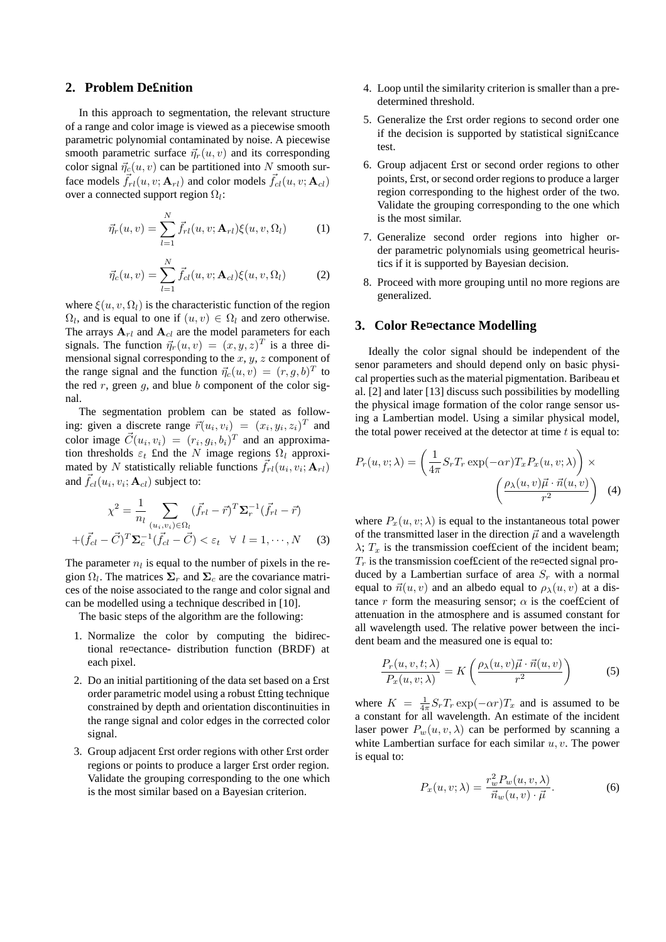## **2. Problem De£nition**

In this approach to segmentation, the relevant structure of a range and color image is viewed as a piecewise smooth parametric polynomial contaminated by noise. A piecewise smooth parametric surface  $\vec{\eta}_r(u, v)$  and its corresponding color signal  $\vec{\eta}_c(u, v)$  can be partitioned into N smooth surface models  $\vec{f}_{rl}(u, v; \mathbf{A}_{rl})$  and color models  $\vec{f}_{cl}(u, v; \mathbf{A}_{cl})$ over a connected support region  $\Omega_l$ :

$$
\vec{\eta}_r(u,v) = \sum_{l=1}^N \vec{f}_{rl}(u,v; \mathbf{A}_{rl})\xi(u,v,\Omega_l)
$$
(1)

$$
\vec{\eta}_c(u,v) = \sum_{l=1}^N \vec{f}_{cl}(u,v; \mathbf{A}_{cl}) \xi(u,v,\Omega_l)
$$
 (2)

where  $\xi(u, v, \Omega)$  is the characteristic function of the region  $\Omega_l$ , and is equal to one if  $(u, v) \in \Omega_l$  and zero otherwise. The arrays  $A_{rl}$  and  $A_{cl}$  are the model parameters for each signals. The function  $\vec{\eta}_r(u, v)=(x, y, z)^T$  is a three dimensional signal corresponding to the  $x, y, z$  component of the range signal and the function  $\vec{\eta}_c(u, v)=(r, g, b)^T$  to the red  $r$ , green  $g$ , and blue  $b$  component of the color signal.

The segmentation problem can be stated as following: given a discrete range  $\vec{r}(u_i, v_i) = (x_i, y_i, z_i)^T$  and color image  $\vec{C}(u_i, v_i) = (r_i, g_i, b_i)^T$  and an approximation thresholds  $\varepsilon_t$  £nd the N image regions  $\Omega_l$  approximated by N statistically reliable functions  $\vec{f}_{rl}(u_i, v_i; \mathbf{A}_{rl})$ and  $\vec{f}_{cl}(u_i, v_i; \mathbf{A}_{cl})$  subject to:

$$
\chi^{2} = \frac{1}{n_{l}} \sum_{(u_{i}, v_{i}) \in \Omega_{l}} (\vec{f}_{rl} - \vec{r})^{T} \Sigma_{r}^{-1} (\vec{f}_{rl} - \vec{r})
$$

$$
+ (\vec{f}_{cl} - \vec{C})^{T} \Sigma_{c}^{-1} (\vec{f}_{cl} - \vec{C}) < \varepsilon_{t} \quad \forall \quad l = 1, \cdots, N \quad (3)
$$

The parameter  $n_l$  is equal to the number of pixels in the region  $\Omega_l$ . The matrices  $\Sigma_r$  and  $\Sigma_c$  are the covariance matrices of the noise associated to the range and color signal and can be modelled using a technique described in [10].

The basic steps of the algorithm are the following:

- 1. Normalize the color by computing the bidirectional re¤ectance- distribution function (BRDF) at each pixel.
- 2. Do an initial partitioning of the data set based on a £rst order parametric model using a robust £tting technique constrained by depth and orientation discontinuities in the range signal and color edges in the corrected color signal.
- 3. Group adjacent £rst order regions with other £rst order regions or points to produce a larger £rst order region. Validate the grouping corresponding to the one which is the most similar based on a Bayesian criterion.
- 4. Loop until the similarity criterion is smaller than a predetermined threshold.
- 5. Generalize the £rst order regions to second order one if the decision is supported by statistical signi£cance test.
- 6. Group adjacent £rst or second order regions to other points, £rst, or second order regions to produce a larger region corresponding to the highest order of the two. Validate the grouping corresponding to the one which is the most similar.
- 7. Generalize second order regions into higher order parametric polynomials using geometrical heuristics if it is supported by Bayesian decision.
- 8. Proceed with more grouping until no more regions are generalized.

#### **3. Color Re¤ectance Modelling**

Ideally the color signal should be independent of the senor parameters and should depend only on basic physical properties such as the material pigmentation. Baribeau et al. [2] and later [13] discuss such possibilities by modelling the physical image formation of the color range sensor using a Lambertian model. Using a similar physical model, the total power received at the detector at time  $t$  is equal to:

$$
P_r(u, v; \lambda) = \left(\frac{1}{4\pi} S_r T_r \exp(-\alpha r) T_x P_x(u, v; \lambda)\right) \times \left(\frac{\rho_\lambda(u, v)\vec{\mu} \cdot \vec{n}(u, v)}{r^2}\right) \tag{4}
$$

where  $P_x(u, v; \lambda)$  is equal to the instantaneous total power of the transmitted laser in the direction  $\vec{\mu}$  and a wavelength  $\lambda$ ;  $T_x$  is the transmission coefficient of the incident beam;  $T_r$  is the transmission coefficient of the re¤ected signal produced by a Lambertian surface of area  $S_r$  with a normal equal to  $\vec{n}(u, v)$  and an albedo equal to  $\rho_{\lambda}(u, v)$  at a distance r form the measuring sensor;  $\alpha$  is the coefficient of attenuation in the atmosphere and is assumed constant for all wavelength used. The relative power between the incident beam and the measured one is equal to:

$$
\frac{P_r(u, v, t; \lambda)}{P_x(u, v; \lambda)} = K\left(\frac{\rho_\lambda(u, v)\vec{\mu} \cdot \vec{n}(u, v)}{r^2}\right)
$$
(5)

where  $K = \frac{1}{4\pi} S_r T_r \exp(-\alpha r) T_x$  and is assumed to be a constant for all wavelength. An estimate of the incident a constant for all wavelength. An estimate of the incident laser power  $P_w(u, v, \lambda)$  can be performed by scanning a white Lambertian surface for each similar  $u, v$ . The power is equal to:

$$
P_x(u, v; \lambda) = \frac{r_w^2 P_w(u, v, \lambda)}{\vec{n}_w(u, v) \cdot \vec{\mu}}.
$$
 (6)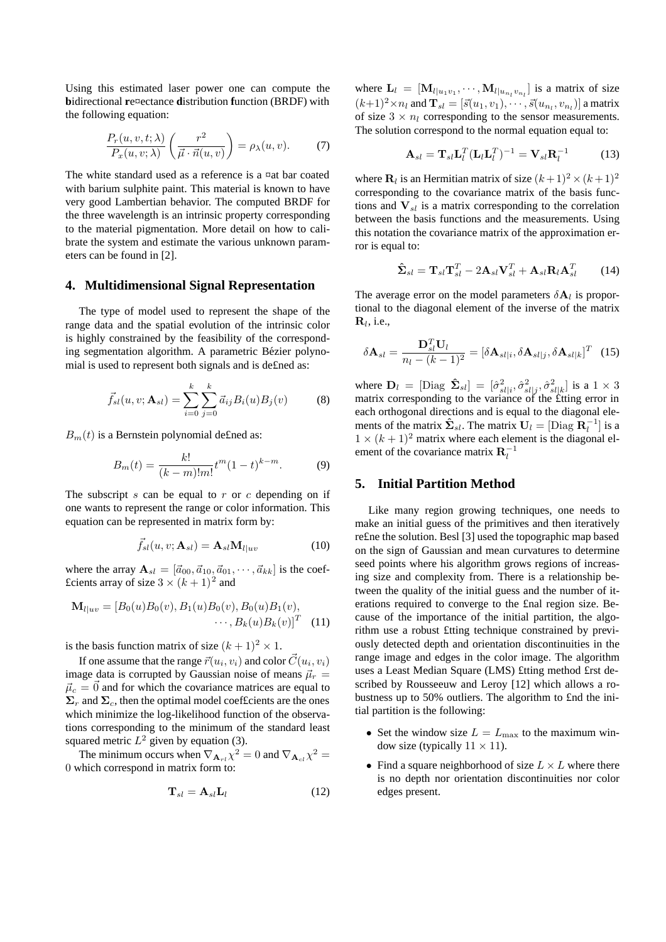Using this estimated laser power one can compute the **b**idirectional **r**e¤ectance **d**istribution **f**unction (BRDF) with the following equation:

$$
\frac{P_r(u, v, t; \lambda)}{P_x(u, v; \lambda)} \left( \frac{r^2}{\vec{\mu} \cdot \vec{n}(u, v)} \right) = \rho_\lambda(u, v). \tag{7}
$$

The white standard used as a reference is a ¤at bar coated with barium sulphite paint. This material is known to have very good Lambertian behavior. The computed BRDF for the three wavelength is an intrinsic property corresponding to the material pigmentation. More detail on how to calibrate the system and estimate the various unknown parameters can be found in [2].

#### **4. Multidimensional Signal Representation**

The type of model used to represent the shape of the range data and the spatial evolution of the intrinsic color is highly constrained by the feasibility of the corresponding segmentation algorithm. A parametric Bézier polynomial is used to represent both signals and is de£ned as:

$$
\vec{f}_{sl}(u, v; \mathbf{A}_{sl}) = \sum_{i=0}^{k} \sum_{j=0}^{k} \vec{a}_{ij} B_i(u) B_j(v)
$$
(8)

 $B<sub>m</sub>(t)$  is a Bernstein polynomial defined as:

$$
B_m(t) = \frac{k!}{(k-m)!m!}t^m(1-t)^{k-m}.
$$
 (9)

The subscript  $s$  can be equal to  $r$  or  $c$  depending on if one wants to represent the range or color information. This equation can be represented in matrix form by:

$$
\vec{f}_{sl}(u,v;\mathbf{A}_{sl}) = \mathbf{A}_{sl} \mathbf{M}_{l|uv}
$$
 (10)

where the array  $\mathbf{A}_{sl} = [\vec{a}_{00}, \vec{a}_{10}, \vec{a}_{01}, \cdots, \vec{a}_{kk}]$  is the coef-£cients array of size  $3 \times (k+1)^2$  and

$$
\mathbf{M}_{l|uv} = [B_0(u)B_0(v), B_1(u)B_0(v), B_0(u)B_1(v), \cdots, B_k(u)B_k(v)]^T
$$
 (11)

is the basis function matrix of size  $(k + 1)^2 \times 1$ .

If one assume that the range  $\vec{r}(u_i, v_i)$  and color  $\vec{C}(u_i, v_i)$ image data is corrupted by Gaussian noise of means  $\vec{\mu}_r$  =  $\vec{\mu}_c = \vec{0}$  and for which the covariance matrices are equal to  $\Sigma_r$  and  $\Sigma_c$ , then the optimal model coefficients are the ones which minimize the log-likelihood function of the observations corresponding to the minimum of the standard least squared metric  $L^2$  given by equation (3).

The minimum occurs when  $\nabla_{\mathbf{A}_{r}} \chi^2 = 0$  and  $\nabla_{\mathbf{A}_{r}} \chi^2 = 0$ 0 which correspond in matrix form to:

$$
\mathbf{T}_{sl} = \mathbf{A}_{sl} \mathbf{L}_l \tag{12}
$$

where  $\mathbf{L}_l = [\mathbf{M}_{l|u_1v_1}, \cdots, \mathbf{M}_{l|u_nv_n}]$  is a matrix of size  $(l_1+1)^2$  or and  $\mathbf{T}$   $[\vec{z}(u_1,v_1), \vec{z}(u_2,v_2)]$  a matrix  $(k+1)^2 \times n_l$  and  $\mathbf{T}_{sl} = [\vec{s}(u_1, v_1), \cdots, \vec{s}(u_{n_l}, v_{n_l})]$  a matrix of size  $3 \times n_l$  corresponding to the sensor measurements. The solution correspond to the normal equation equal to:

$$
\mathbf{A}_{sl} = \mathbf{T}_{sl} \mathbf{L}_l^T (\mathbf{L}_l \mathbf{L}_l^T)^{-1} = \mathbf{V}_{sl} \mathbf{R}_l^{-1} \tag{13}
$$

where **R**<sub>l</sub> is an Hermitian matrix of size  $(k+1)^2 \times (k+1)^2$ corresponding to the covariance matrix of the basis functions and  $V_{sl}$  is a matrix corresponding to the correlation between the basis functions and the measurements. Using this notation the covariance matrix of the approximation error is equal to:

$$
\hat{\mathbf{\Sigma}}_{sl} = \mathbf{T}_{sl} \mathbf{T}_{sl}^T - 2\mathbf{A}_{sl} \mathbf{V}_{sl}^T + \mathbf{A}_{sl} \mathbf{R}_l \mathbf{A}_{sl}^T \tag{14}
$$

The average error on the model parameters  $\delta A_l$  is proportional to the diagonal element of the inverse of the matrix  $\mathbf{R}_l$ , i.e.,

$$
\delta \mathbf{A}_{sl} = \frac{\mathbf{D}_{sl}^T \mathbf{U}_l}{n_l - (k-1)^2} = [\delta \mathbf{A}_{sl|i}, \delta \mathbf{A}_{sl|j}, \delta \mathbf{A}_{sl|k}]^T
$$
 (15)

where  $\mathbf{D}_l = [\text{Diag } \hat{\mathbf{\Sigma}}_{sl}] = [\hat{\sigma}_{sl}|_i, \hat{\sigma}_{sl}|_j, \hat{\sigma}_{sl|k}^2]$  is a  $1 \times 3$ <br>matrix corresponding to the variance of the fitting error in matrix corresponding to the variance of the £tting error in each orthogonal directions and is equal to the diagonal elements of the matrix  $\hat{\Sigma}_{sl}$ . The matrix  $U_l = [\text{Diag } R_l^{-1}]$  is a  $1 \times (l+1)^2$  matrix where each element is the diagonal elements  $1 \times (k+1)^2$  matrix where each element is the diagonal element of the covariance matrix  $\mathbf{R}_1^{-1}$ 

## **5. Initial Partition Method**

Like many region growing techniques, one needs to make an initial guess of the primitives and then iteratively re£ne the solution. Besl [3] used the topographic map based on the sign of Gaussian and mean curvatures to determine seed points where his algorithm grows regions of increasing size and complexity from. There is a relationship between the quality of the initial guess and the number of iterations required to converge to the £nal region size. Because of the importance of the initial partition, the algorithm use a robust £tting technique constrained by previously detected depth and orientation discontinuities in the range image and edges in the color image. The algorithm uses a Least Median Square (LMS) £tting method £rst described by Rousseeuw and Leroy [12] which allows a robustness up to 50% outliers. The algorithm to £nd the initial partition is the following:

- Set the window size  $L = L_{\text{max}}$  to the maximum window size (typically  $11 \times 11$ ).
- Find a square neighborhood of size  $L \times L$  where there is no depth nor orientation discontinuities nor color edges present.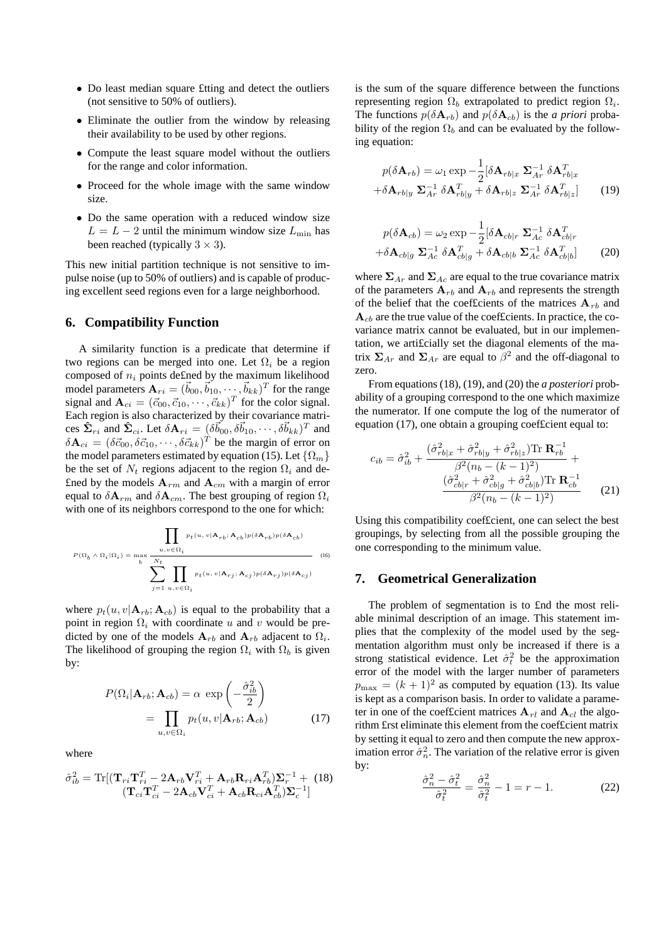- Do least median square £tting and detect the outliers (not sensitive to 50% of outliers).
- Eliminate the outlier from the window by releasing their availability to be used by other regions.
- Compute the least square model without the outliers for the range and color information.
- Proceed for the whole image with the same window size.
- Do the same operation with a reduced window size  $L = L - 2$  until the minimum window size  $L_{\text{min}}$  has been reached (typically  $3 \times 3$ ).

This new initial partition technique is not sensitive to impulse noise (up to 50% of outliers) and is capable of producing excellent seed regions even for a large neighborhood.

## **6. Compatibility Function**

A similarity function is a predicate that determine if two regions can be merged into one. Let  $\Omega_i$  be a region composed of  $n_i$  points defined by the maximum likelihood model parameters  $\mathbf{A}_{ri} = (\vec{b}_{00}, \vec{b}_{10}, \cdots, \vec{b}_{kk})^T$  for the range signal and  $\mathbf{A}_{ci} = (\vec{c}_{00}, \vec{c}_{10}, \cdots, \vec{c}_{kk})^T$  for the color signal. Each region is also characterized by their covariance matrices  $\hat{\Sigma}_{ri}$  and  $\hat{\Sigma}_{ci}$ . Let  $\delta \mathbf{A}_{ri} = (\delta \vec{b}_{00}, \delta \vec{b}_{10}, \cdots, \delta \vec{b}_{kk})^T$  and  $\delta \mathbf{A}_{ci} = (\delta \vec{c}_{00}, \delta \vec{c}_{10}, \cdots, \delta \vec{c}_{kk})^{\hat{T}}$  be the margin of error on the model parameters estimated by equation (15). Let  $\{\Omega_m\}$ be the set of  $N_t$  regions adjacent to the region  $\Omega_i$  and de-£ned by the models  $A_{rm}$  and  $A_{cm}$  with a margin of error equal to  $\delta \mathbf{A}_{rm}$  and  $\delta \mathbf{A}_{cm}$ . The best grouping of region  $\Omega_i$ with one of its neighbors correspond to the one for which:

$$
P(\Omega_b \wedge \Omega_i | \Omega_i) = \max_b \frac{u, v \in \Omega_i}{\sum_{j=1}^{N_t} u, v \in \Omega_i}
$$
\n
$$
(16)
$$
\n
$$
P(\Omega_b \wedge \Omega_i | \Omega_i) = \max_b \frac{v}{\sum_{j=1}^{N_t} u, v \in \Omega_i}
$$

where  $p_t(u, v | \mathbf{A}_{rb}; \mathbf{A}_{cb})$  is equal to the probability that a point in region  $\Omega_i$  with coordinate u and v would be predicted by one of the models  $A_{rb}$  and  $A_{rb}$  adjacent to  $\Omega_i$ . The likelihood of grouping the region  $\Omega_i$  with  $\Omega_b$  is given by:

$$
P(\Omega_i | \mathbf{A}_{rb}; \mathbf{A}_{cb}) = \alpha \, \exp\left(-\frac{\hat{\sigma}_{ib}^2}{2}\right)
$$

$$
= \prod_{u,v \in \Omega_i} p_t(u, v | \mathbf{A}_{rb}; \mathbf{A}_{cb}) \tag{17}
$$

where

$$
\hat{\sigma}_{ib}^2 = \text{Tr}[(\mathbf{T}_{ri}\mathbf{T}_{ri}^T - 2\mathbf{A}_{rb}\mathbf{V}_{ri}^T + \mathbf{A}_{rb}\mathbf{R}_{ri}\mathbf{A}_{rb}^T)\mathbf{\Sigma}_r^{-1} + (18)\n\n(\mathbf{T}_{ci}\mathbf{T}_{ci}^T - 2\mathbf{A}_{cb}\mathbf{V}_{ci}^T + \mathbf{A}_{cb}\mathbf{R}_{ci}\mathbf{A}_{cb}^T)\mathbf{\Sigma}_c^{-1}]
$$

is the sum of the square difference between the functions representing region  $\Omega_b$  extrapolated to predict region  $\Omega_i$ . The functions  $p(\delta A_{rb})$  and  $p(\delta A_{cb})$  is the *a priori* probability of the region  $\Omega_b$  and can be evaluated by the following equation:

$$
p(\delta \mathbf{A}_{rb}) = \omega_1 \exp \left(-\frac{1}{2} [\delta \mathbf{A}_{rb|x} \ \mathbf{\Sigma}_{Ar}^{-1} \ \delta \mathbf{A}_{rb|x}^T + \delta \mathbf{A}_{rb|y} \ \mathbf{\Sigma}_{Ar}^{-1} \ \delta \mathbf{A}_{rb|z}^T \ \mathbf{\Sigma}_{Ar}^{-1} \ \delta \mathbf{A}_{rb|z}^T \right]
$$
(19)

$$
p(\delta \mathbf{A}_{cb}) = \omega_2 \exp \{-\frac{1}{2} [\delta \mathbf{A}_{cb|r} \ \mathbf{\Sigma}_{Ac}^{-1} \ \delta \mathbf{A}_{cb|r}^T + \delta \mathbf{A}_{cb|g} \ \mathbf{\Sigma}_{Ac}^{-1} \ \delta \mathbf{A}_{cb|g}^T + \delta \mathbf{A}_{cb|b} \ \mathbf{\Sigma}_{Ac}^{-1} \ \delta \mathbf{A}_{cb|b}^T \tag{20}
$$

where  $\Sigma_{Ar}$  and  $\Sigma_{Ac}$  are equal to the true covariance matrix of the parameters  $A_{rb}$  and  $A_{rb}$  and represents the strength of the belief that the coefficients of the matrices  $A_{rb}$  and  $A_{cb}$  are the true value of the coef $f$  cients. In practice, the covariance matrix cannot be evaluated, but in our implementation, we arti£cially set the diagonal elements of the matrix  $\Sigma_{Ar}$  and  $\Sigma_{Ar}$  are equal to  $\beta^2$  and the off-diagonal to zero.

From equations (18), (19), and (20) the *a posteriori* probability of a grouping correspond to the one which maximize the numerator. If one compute the log of the numerator of equation (17), one obtain a grouping coef£cient equal to:

$$
c_{ib} = \hat{\sigma}_{ib}^2 + \frac{(\hat{\sigma}_{rb|x}^2 + \hat{\sigma}_{rb|y}^2 + \hat{\sigma}_{rb|z}^2) \text{Tr } \mathbf{R}_{rb}^{-1}}{\beta^2 (n_b - (k - 1)^2)} + \frac{(\hat{\sigma}_{cb|x}^2 + \hat{\sigma}_{cb|g}^2 + \hat{\sigma}_{cb|b}^2) \text{Tr } \mathbf{R}_{cb}^{-1}}{\beta^2 (n_b - (k - 1)^2)}
$$
(21)

Using this compatibility coef£cient, one can select the best groupings, by selecting from all the possible grouping the one corresponding to the minimum value.

## **7. Geometrical Generalization**

The problem of segmentation is to £nd the most reliable minimal description of an image. This statement implies that the complexity of the model used by the segmentation algorithm must only be increased if there is a strong statistical evidence. Let  $\hat{\sigma}_t^2$  be the approximation<br>error of the model with the larger number of parameters error of the model with the larger number of parameters  $p_{\text{max}} = (k + 1)^2$  as computed by equation (13). Its value is kept as a comparison basis. In order to validate a parameter in one of the coefficient matrices  $A_{rl}$  and  $A_{cl}$  the algorithm £rst eliminate this element from the coef£cient matrix by setting it equal to zero and then compute the new approximation error  $\hat{\sigma}_n^2$ . The variation of the relative error is given by: by:

$$
\frac{\hat{\sigma}_n^2 - \hat{\sigma}_t^2}{\hat{\sigma}_t^2} = \frac{\hat{\sigma}_n^2}{\hat{\sigma}_t^2} - 1 = r - 1.
$$
 (22)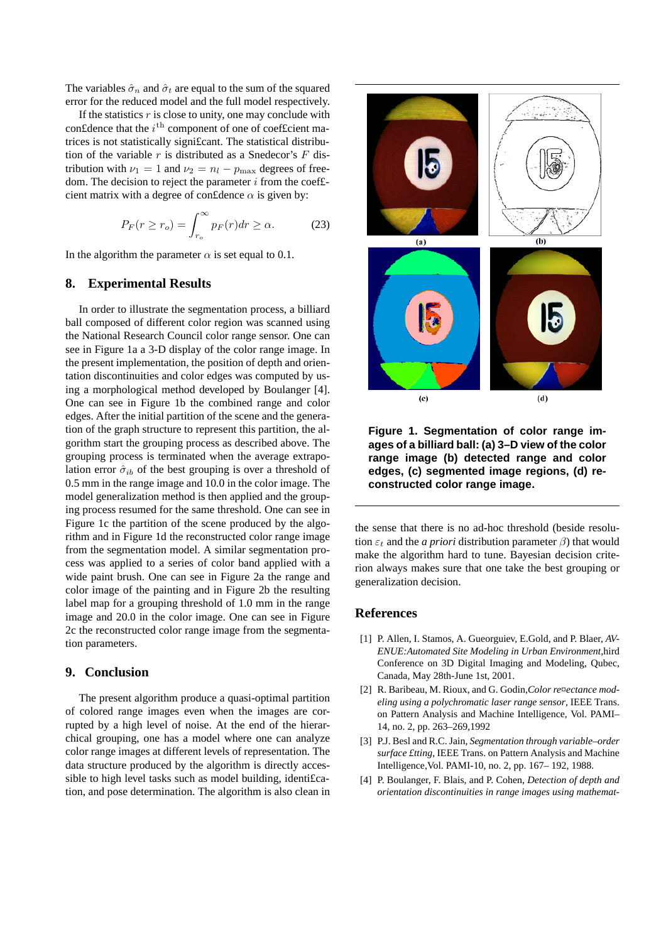The variables  $\hat{\sigma}_n$  and  $\hat{\sigma}_t$  are equal to the sum of the squared error for the reduced model and the full model respectively.

If the statistics  $r$  is close to unity, one may conclude with con£dence that the  $i<sup>th</sup>$  component of one of coef£cient matrices is not statistically signi£cant. The statistical distribution of the variable  $r$  is distributed as a Snedecor's  $F$  distribution with  $\nu_1 = 1$  and  $\nu_2 = n_l - p_{\text{max}}$  degrees of freedom. The decision to reject the parameter  $i$  from the coeffcient matrix with a degree of con£dence  $\alpha$  is given by:

$$
P_F(r \ge r_o) = \int_{r_o}^{\infty} p_F(r) dr \ge \alpha.
$$
 (23)

In the algorithm the parameter  $\alpha$  is set equal to 0.1.

## **8. Experimental Results**

In order to illustrate the segmentation process, a billiard ball composed of different color region was scanned using the National Research Council color range sensor. One can see in Figure 1a a 3-D display of the color range image. In the present implementation, the position of depth and orientation discontinuities and color edges was computed by using a morphological method developed by Boulanger [4]. One can see in Figure 1b the combined range and color edges. After the initial partition of the scene and the generation of the graph structure to represent this partition, the algorithm start the grouping process as described above. The grouping process is terminated when the average extrapolation error  $\hat{\sigma}_{ib}$  of the best grouping is over a threshold of 0.5 mm in the range image and 10.0 in the color image. The model generalization method is then applied and the grouping process resumed for the same threshold. One can see in Figure 1c the partition of the scene produced by the algorithm and in Figure 1d the reconstructed color range image from the segmentation model. A similar segmentation process was applied to a series of color band applied with a wide paint brush. One can see in Figure 2a the range and color image of the painting and in Figure 2b the resulting label map for a grouping threshold of 1.0 mm in the range image and 20.0 in the color image. One can see in Figure 2c the reconstructed color range image from the segmentation parameters.

## **9. Conclusion**

The present algorithm produce a quasi-optimal partition of colored range images even when the images are corrupted by a high level of noise. At the end of the hierarchical grouping, one has a model where one can analyze color range images at different levels of representation. The data structure produced by the algorithm is directly accessible to high level tasks such as model building, identi£cation, and pose determination. The algorithm is also clean in



**Figure 1. Segmentation of color range images of a billiard ball: (a) 3–D view of the color range image (b) detected range and color edges, (c) segmented image regions, (d) reconstructed color range image.**

the sense that there is no ad-hoc threshold (beside resolution  $\varepsilon_t$  and the *a priori* distribution parameter  $\beta$ ) that would make the algorithm hard to tune. Bayesian decision criterion always makes sure that one take the best grouping or generalization decision.

#### **References**

- [1] P. Allen, I. Stamos, A. Gueorguiev, E.Gold, and P. Blaer, *AV-ENUE:Automated Site Modeling in Urban Environment*,hird Conference on 3D Digital Imaging and Modeling, Qubec, Canada, May 28th-June 1st, 2001.
- [2] R. Baribeau, M. Rioux, and G. Godin,*Color re¤ectance modeling using a polychromatic laser range sensor*, IEEE Trans. on Pattern Analysis and Machine Intelligence, Vol. PAMI– 14, no. 2, pp. 263–269,1992
- [3] P.J. Besl and R.C. Jain, *Segmentation through variable–order surface £tting*, IEEE Trans. on Pattern Analysis and Machine Intelligence,Vol. PAMI-10, no. 2, pp. 167– 192, 1988.
- [4] P. Boulanger, F. Blais, and P. Cohen, *Detection of depth and orientation discontinuities in range images using mathemat-*